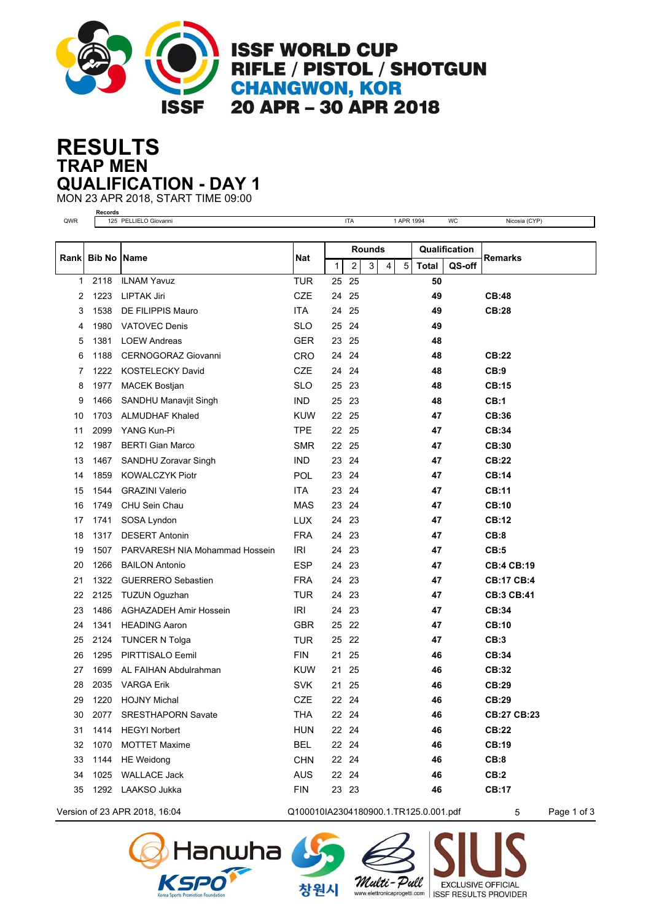

**ISSF WORLD CUP** RIFLE / PISTOL / SHOTGUN **CHANGWON, KOR** 20 APR - 30 APR 2018

## **TRAP MEN RESULTS QUALIFICATION - DAY 1**

MON 23 APR 2018, START TIME 09:00 **Records**

| QWR          |               | 125 PELLIELO Giovanni          |            |       | <b>ITA</b>              |   |                | 1 APR 1994    |              | <b>WC</b> | Nicosia (CYP)      |
|--------------|---------------|--------------------------------|------------|-------|-------------------------|---|----------------|---------------|--------------|-----------|--------------------|
|              |               |                                |            |       |                         |   |                |               |              |           |                    |
| Rank         | <b>Bib No</b> | <b>Name</b>                    | Nat        |       | <b>Rounds</b>           |   |                | Qualification |              | Remarks   |                    |
|              |               |                                |            | 1     | $\overline{\mathbf{c}}$ | 3 | $\overline{4}$ | $\sqrt{5}$    | <b>Total</b> | QS-off    |                    |
| $\mathbf{1}$ | 2118          | <b>ILNAM Yavuz</b>             | <b>TUR</b> | 25    | 25                      |   |                |               | 50           |           |                    |
| 2            | 1223          | <b>LIPTAK Jiri</b>             | <b>CZE</b> | 24    | 25                      |   |                |               | 49           |           | <b>CB:48</b>       |
| 3            | 1538          | DE FILIPPIS Mauro              | <b>ITA</b> | 24    | 25                      |   |                |               | 49           |           | <b>CB:28</b>       |
| 4            | 1980          | <b>VATOVEC Denis</b>           | <b>SLO</b> | 25    | 24                      |   |                |               | 49           |           |                    |
| 5            | 1381          | <b>LOEW Andreas</b>            | <b>GER</b> | 23    | 25                      |   |                |               | 48           |           |                    |
| 6            | 1188          | <b>CERNOGORAZ Giovanni</b>     | <b>CRO</b> | 24    | 24                      |   |                |               | 48           |           | CB:22              |
| 7            | 1222          | <b>KOSTELECKY David</b>        | <b>CZE</b> | 24    | 24                      |   |                |               | 48           |           | CB:9               |
| 8            | 1977          | <b>MACEK Bostjan</b>           | <b>SLO</b> | 25    | 23                      |   |                |               | 48           |           | CB:15              |
| 9            | 1466          | SANDHU Manavjit Singh          | <b>IND</b> | 25    | 23                      |   |                |               | 48           |           | CB:1               |
| 10           | 1703          | <b>ALMUDHAF Khaled</b>         | <b>KUW</b> | 22    | 25                      |   |                |               | 47           |           | CB:36              |
| 11           | 2099          | YANG Kun-Pi                    | TPE        | 22    | 25                      |   |                |               | 47           |           | CB:34              |
| 12           | 1987          | <b>BERTI Gian Marco</b>        | <b>SMR</b> | 22    | 25                      |   |                |               | 47           |           | CB:30              |
| 13           | 1467          | SANDHU Zoravar Singh           | <b>IND</b> | 23    | 24                      |   |                |               | 47           |           | CB:22              |
| 14           | 1859          | <b>KOWALCZYK Piotr</b>         | <b>POL</b> | 23    | 24                      |   |                |               | 47           |           | <b>CB:14</b>       |
| 15           | 1544          | <b>GRAZINI Valerio</b>         | ITA.       | 23    | 24                      |   |                |               | 47           |           | <b>CB:11</b>       |
| 16           | 1749          | CHU Sein Chau                  | <b>MAS</b> | 23    | 24                      |   |                |               | 47           |           | <b>CB:10</b>       |
| 17           | 1741          | SOSA Lyndon                    | <b>LUX</b> | 24    | 23                      |   |                |               | 47           |           | CB:12              |
| 18           | 1317          | <b>DESERT Antonin</b>          | <b>FRA</b> | 24    | 23                      |   |                |               | 47           |           | CB:8               |
| 19           | 1507          | PARVARESH NIA Mohammad Hossein | IRI        | 24    | 23                      |   |                |               | 47           |           | CB:5               |
| 20           | 1266          | <b>BAILON Antonio</b>          | <b>ESP</b> | 24    | 23                      |   |                |               | 47           |           | <b>CB:4 CB:19</b>  |
| 21           | 1322          | <b>GUERRERO Sebastien</b>      | <b>FRA</b> | 24    | 23                      |   |                |               | 47           |           | <b>CB:17 CB:4</b>  |
| 22           | 2125          | <b>TUZUN Oguzhan</b>           | <b>TUR</b> | 24    | 23                      |   |                |               | 47           |           | <b>CB:3 CB:41</b>  |
| 23           | 1486          | AGHAZADEH Amir Hossein         | IRI        | 24    | 23                      |   |                |               | 47           |           | CB:34              |
| 24           | 1341          | <b>HEADING Aaron</b>           | <b>GBR</b> | 25    | 22                      |   |                |               | 47           |           | <b>CB:10</b>       |
| 25           | 2124          | <b>TUNCER N Tolga</b>          | <b>TUR</b> | 25    | 22                      |   |                |               | 47           |           | CB:3               |
| 26           | 1295          | PIRTTISALO Eemil               | <b>FIN</b> | 21    | 25                      |   |                |               | 46           |           | CB:34              |
| 27           | 1699          | AL FAIHAN Abdulrahman          | <b>KUW</b> | 21    | 25                      |   |                |               | 46           |           | CB:32              |
| 28           | 2035          | <b>VARGA Erik</b>              | <b>SVK</b> | 21    | 25                      |   |                |               | 46           |           | CB:29              |
| 29           | 1220          | <b>HOJNY Michal</b>            | <b>CZE</b> | 22 24 |                         |   |                |               | 46           |           | CB:29              |
| 30           | 2077          | <b>SRESTHAPORN Savate</b>      | <b>THA</b> | 22 24 |                         |   |                |               | 46           |           | <b>CB:27 CB:23</b> |
| 31           | 1414          | <b>HEGYI Norbert</b>           | <b>HUN</b> | 22 24 |                         |   |                |               | 46           |           | <b>CB:22</b>       |
| 32           | 1070          | <b>MOTTET Maxime</b>           | <b>BEL</b> | 22 24 |                         |   |                |               | 46           |           | CB:19              |
| 33           | 1144          | <b>HE</b> Weidong              | <b>CHN</b> | 22 24 |                         |   |                |               | 46           |           | CB:8               |
| 34           | 1025          | <b>WALLACE Jack</b>            | <b>AUS</b> | 22 24 |                         |   |                |               | 46           |           | CB:2               |
| 35           | 1292          | LAAKSO Jukka                   | <b>FIN</b> |       | 23 23                   |   |                |               | 46           |           | <b>CB:17</b>       |
|              |               |                                |            |       |                         |   |                |               |              |           |                    |

Version of 23 APR 2018, 16:04 Q100010IA2304180900.1.TR125.0.001.pdf 5 Page 1 of 3





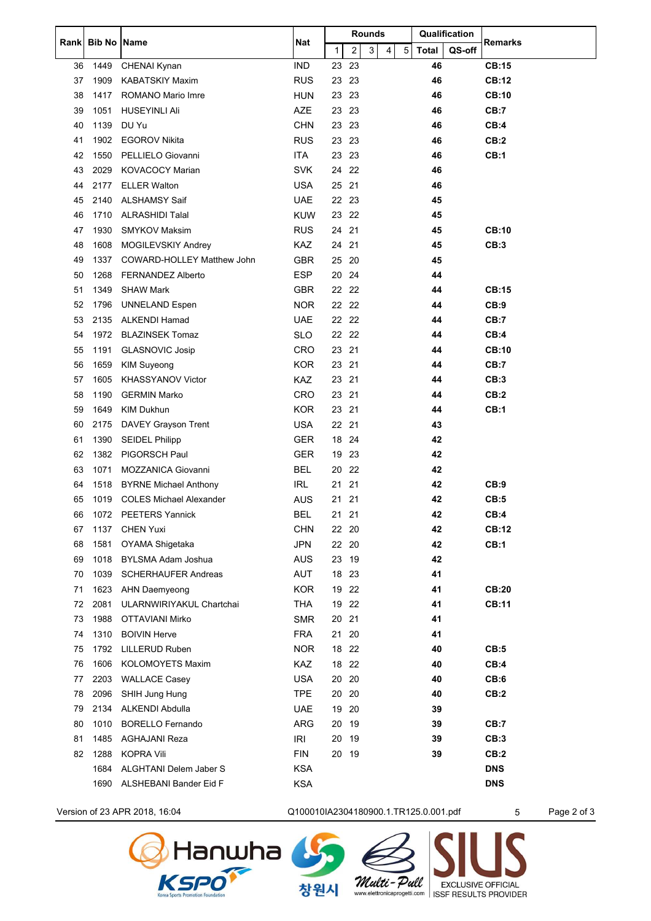| Rankl | <b>Bib No Name</b> |                                | <b>Nat</b> | Rounds       |    |   |   |            | Qualification |        | Remarks      |
|-------|--------------------|--------------------------------|------------|--------------|----|---|---|------------|---------------|--------|--------------|
|       |                    |                                |            | $\mathbf{1}$ | 2  | 3 | 4 | $\sqrt{5}$ | <b>Total</b>  | QS-off |              |
| 36    | 1449               | CHENAI Kynan                   | <b>IND</b> | 23           | 23 |   |   |            | 46            |        | <b>CB:15</b> |
| 37    | 1909               | <b>KABATSKIY Maxim</b>         | <b>RUS</b> | 23           | 23 |   |   |            | 46            |        | CB:12        |
| 38    | 1417               | <b>ROMANO Mario Imre</b>       | <b>HUN</b> | 23           | 23 |   |   |            | 46            |        | <b>CB:10</b> |
| 39    | 1051               | <b>HUSEYINLI Ali</b>           | <b>AZE</b> | 23           | 23 |   |   |            | 46            |        | CB:7         |
| 40    | 1139               | DU Yu                          | <b>CHN</b> | 23           | 23 |   |   |            | 46            |        | CB:4         |
| 41    | 1902               | <b>EGOROV Nikita</b>           | <b>RUS</b> | 23 23        |    |   |   |            | 46            |        | CB:2         |
| 42    | 1550               | PELLIELO Giovanni              | ITA        | 23 23        |    |   |   |            | 46            |        | CB:1         |
| 43    | 2029               | <b>KOVACOCY Marian</b>         | <b>SVK</b> | 24           | 22 |   |   |            | 46            |        |              |
| 44    | 2177               | <b>ELLER Walton</b>            | <b>USA</b> | 25           | 21 |   |   |            | 46            |        |              |
| 45    | 2140               | <b>ALSHAMSY Saif</b>           | <b>UAE</b> | 22 23        |    |   |   |            | 45            |        |              |
| 46    | 1710               | <b>ALRASHIDI Talal</b>         | <b>KUW</b> | 23           | 22 |   |   |            | 45            |        |              |
| 47    | 1930               | <b>SMYKOV Maksim</b>           | <b>RUS</b> | 24           | 21 |   |   |            | 45            |        | <b>CB:10</b> |
| 48    | 1608               | MOGILEVSKIY Andrey             | KAZ        | 24           | 21 |   |   |            | 45            |        | CB:3         |
| 49    | 1337               | COWARD-HOLLEY Matthew John     | <b>GBR</b> | 25           | 20 |   |   |            | 45            |        |              |
| 50    | 1268               | <b>FERNANDEZ Alberto</b>       | <b>ESP</b> | 20           | 24 |   |   |            | 44            |        |              |
| 51    | 1349               | <b>SHAW Mark</b>               | <b>GBR</b> | 22 22        |    |   |   |            | 44            |        | <b>CB:15</b> |
| 52    | 1796               | <b>UNNELAND Espen</b>          | <b>NOR</b> | 22 22        |    |   |   |            | 44            |        | CB:9         |
| 53    | 2135               | <b>ALKENDI Hamad</b>           | <b>UAE</b> | 22 22        |    |   |   |            | 44            |        | CB:7         |
| 54    | 1972               | <b>BLAZINSEK Tomaz</b>         | <b>SLO</b> | 22           | 22 |   |   |            | 44            |        | CB:4         |
| 55    | 1191               | <b>GLASNOVIC Josip</b>         | CRO        | 23           | 21 |   |   |            | 44            |        | <b>CB:10</b> |
| 56    | 1659               | <b>KIM Suyeong</b>             | <b>KOR</b> | 23 21        |    |   |   |            | 44            |        | CB:7         |
| 57    | 1605               | <b>KHASSYANOV Victor</b>       | <b>KAZ</b> | 23           | 21 |   |   |            | 44            |        | CB:3         |
| 58    | 1190               | <b>GERMIN Marko</b>            | CRO        | 23           | 21 |   |   |            | 44            |        | CB:2         |
| 59    | 1649               | KIM Dukhun                     | <b>KOR</b> | 23           | 21 |   |   |            | 44            |        | CB:1         |
| 60    | 2175               | DAVEY Grayson Trent            | <b>USA</b> | 22           | 21 |   |   |            | 43            |        |              |
| 61    | 1390               | <b>SEIDEL Philipp</b>          | <b>GER</b> | 18           | 24 |   |   |            | 42            |        |              |
| 62    | 1382               | PIGORSCH Paul                  | <b>GER</b> | 19           | 23 |   |   |            | 42            |        |              |
| 63    | 1071               | MOZZANICA Giovanni             | <b>BEL</b> | 20           | 22 |   |   |            | 42            |        |              |
| 64    | 1518               | <b>BYRNE Michael Anthony</b>   | IRL        | 21           | 21 |   |   |            | 42            |        | CB:9         |
| 65    | 1019               | <b>COLES Michael Alexander</b> | AUS        | 21           | 21 |   |   |            | 42            |        | CB:5         |
| 66    | 1072               | <b>PEETERS Yannick</b>         | <b>BEL</b> | 21           | 21 |   |   |            | 42            |        | CB:4         |
| 67    | 1137               | <b>CHEN Yuxi</b>               | <b>CHN</b> | 22 20        |    |   |   |            | 42            |        | <b>CB:12</b> |
| 68    | 1581               | OYAMA Shigetaka                | <b>JPN</b> | 22           | 20 |   |   |            | 42            |        | CB:1         |
| 69    | 1018               | <b>BYLSMA Adam Joshua</b>      | AUS        | 23           | 19 |   |   |            | 42            |        |              |
| 70    | 1039               | <b>SCHERHAUFER Andreas</b>     | AUT        | 18 23        |    |   |   |            | 41            |        |              |
| 71    | 1623               | <b>AHN Daemyeong</b>           | <b>KOR</b> | 19           | 22 |   |   |            | 41            |        | <b>CB:20</b> |
| 72    | 2081               | ULARNWIRIYAKUL Chartchai       | <b>THA</b> | 19           | 22 |   |   |            | 41            |        | <b>CB:11</b> |
| 73    | 1988               | <b>OTTAVIANI Mirko</b>         | <b>SMR</b> | 20 21        |    |   |   |            | 41            |        |              |
| 74    | 1310               | <b>BOIVIN Herve</b>            | <b>FRA</b> | 21           | 20 |   |   |            | 41            |        |              |
| 75    | 1792               | <b>LILLERUD Ruben</b>          | <b>NOR</b> | 18           | 22 |   |   |            | 40            |        | CB:5         |
| 76    | 1606               | <b>KOLOMOYETS Maxim</b>        | KAZ        | 18           | 22 |   |   |            | 40            |        | CB:4         |
| 77    | 2203               | <b>WALLACE Casey</b>           | <b>USA</b> | 20           | 20 |   |   |            | 40            |        | CB:6         |
| 78    | 2096               | SHIH Jung Hung                 | <b>TPE</b> | 20           | 20 |   |   |            | 40            |        | CB:2         |
| 79    | 2134               | ALKENDI Abdulla                | <b>UAE</b> | 19           | 20 |   |   |            | 39            |        |              |
| 80    | 1010               | <b>BORELLO Fernando</b>        | ARG        | 20           | 19 |   |   |            | 39            |        | CB:7         |
| 81    | 1485               | <b>AGHAJANI Reza</b>           | IRI        | 20           | 19 |   |   |            | 39            |        | CB:3         |
| 82    | 1288               | <b>KOPRA Vili</b>              | <b>FIN</b> | 20           | 19 |   |   |            | 39            |        | CB:2         |
|       | 1684               | ALGHTANI Delem Jaber S         | <b>KSA</b> |              |    |   |   |            |               |        | <b>DNS</b>   |
|       | 1690               | ALSHEBANI Bander Eid F         | <b>KSA</b> |              |    |   |   |            |               |        | <b>DNS</b>   |

Version of 23 APR 2018, 16:04 C100010IA2304180900.1.TR125.0.001.pdf 5 Page 2 of 3

Walti-Pall EXCLUSIVE OFFICIAL